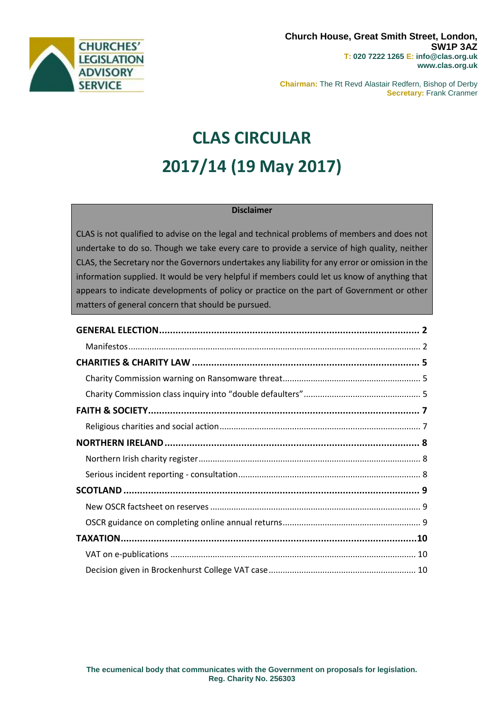

**Chairman:** The Rt Revd Alastair Redfern, Bishop of Derby **Secretary:** Frank Cranmer

# **CLAS CIRCULAR 2017/14 (19 May 2017)**

## **Disclaimer**

CLAS is not qualified to advise on the legal and technical problems of members and does not undertake to do so. Though we take every care to provide a service of high quality, neither CLAS, the Secretary nor the Governors undertakes any liability for any error or omission in the information supplied. It would be very helpful if members could let us know of anything that appears to indicate developments of policy or practice on the part of Government or other matters of general concern that should be pursued.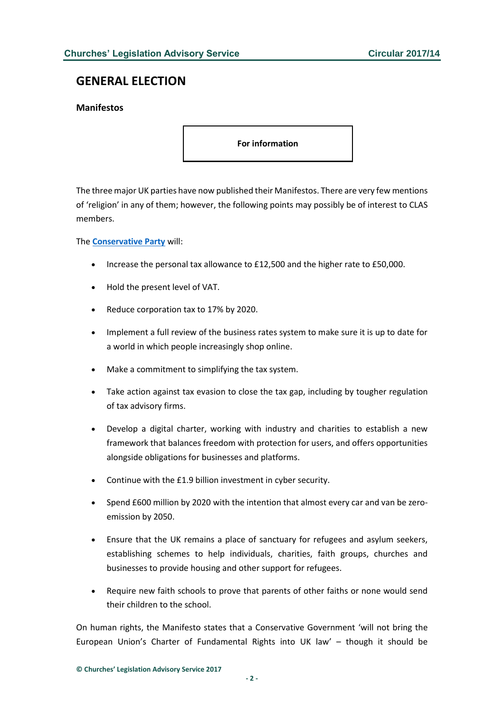# <span id="page-1-0"></span>**GENERAL ELECTION**

## <span id="page-1-1"></span>**Manifestos**

**For information**

The three major UK parties have now published their Manifestos. There are very few mentions of 'religion' in any of them; however, the following points may possibly be of interest to CLAS members.

The **[Conservative Party](http://s3.eu-west-2.amazonaws.com/manifesto2017/Manifesto2017.pdf)** will:

- Increase the personal tax allowance to £12,500 and the higher rate to £50,000.
- Hold the present level of VAT.
- Reduce corporation tax to 17% by 2020.
- Implement a full review of the business rates system to make sure it is up to date for a world in which people increasingly shop online.
- Make a commitment to simplifying the tax system.
- Take action against tax evasion to close the tax gap, including by tougher regulation of tax advisory firms.
- Develop a digital charter, working with industry and charities to establish a new framework that balances freedom with protection for users, and offers opportunities alongside obligations for businesses and platforms.
- Continue with the £1.9 billion investment in cyber security.
- Spend £600 million by 2020 with the intention that almost every car and van be zeroemission by 2050.
- Ensure that the UK remains a place of sanctuary for refugees and asylum seekers, establishing schemes to help individuals, charities, faith groups, churches and businesses to provide housing and other support for refugees.
- Require new faith schools to prove that parents of other faiths or none would send their children to the school.

On human rights, the Manifesto states that a Conservative Government 'will not bring the European Union's Charter of Fundamental Rights into UK law' – though it should be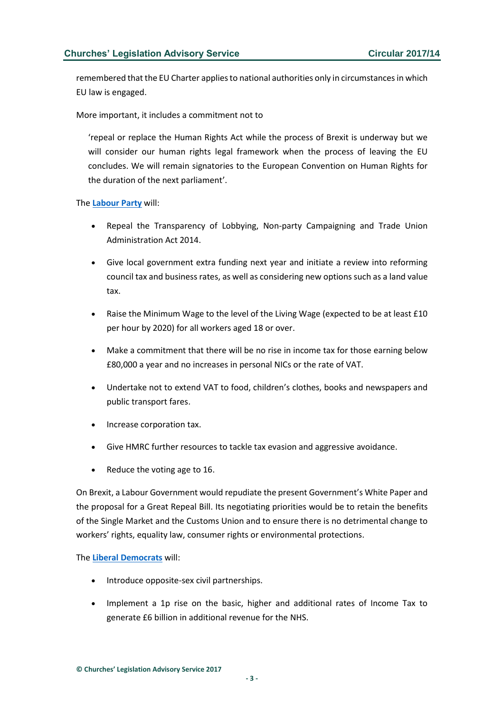remembered that the EU Charter applies to national authorities only in circumstances in which EU law is engaged.

More important, it includes a commitment not to

'repeal or replace the Human Rights Act while the process of Brexit is underway but we will consider our human rights legal framework when the process of leaving the EU concludes. We will remain signatories to the European Convention on Human Rights for the duration of the next parliament'.

The **[Labour Party](http://www.labour.org.uk/page/-/Images/manifesto-2017/labour-manifesto-2017.pdf)** will:

- Repeal the Transparency of Lobbying, Non-party Campaigning and Trade Union Administration Act 2014.
- Give local government extra funding next year and initiate a review into reforming council tax and business rates, as well as considering new options such as a land value tax.
- Raise the Minimum Wage to the level of the Living Wage (expected to be at least £10 per hour by 2020) for all workers aged 18 or over.
- Make a commitment that there will be no rise in income tax for those earning below £80,000 a year and no increases in personal NICs or the rate of VAT.
- Undertake not to extend VAT to food, children's clothes, books and newspapers and public transport fares.
- Increase corporation tax.
- Give HMRC further resources to tackle tax evasion and aggressive avoidance.
- Reduce the voting age to 16.

On Brexit, a Labour Government would repudiate the present Government's White Paper and the proposal for a Great Repeal Bill. Its negotiating priorities would be to retain the benefits of the Single Market and the Customs Union and to ensure there is no detrimental change to workers' rights, equality law, consumer rights or environmental protections.

The **Liberal [Democrats](http://d3n8a8pro7vhmx.cloudfront.net/themes/5909d4366ad575794c000000/attachments/original/1495020157/Manifesto-Final.pdf?1495020157)** will:

- Introduce opposite-sex civil partnerships.
- Implement a 1p rise on the basic, higher and additional rates of Income Tax to generate £6 billion in additional revenue for the NHS.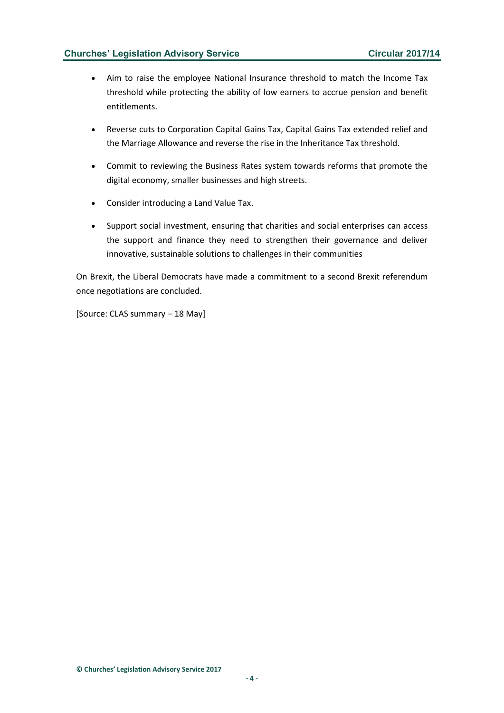## **Churches' Legislation Advisory Service Circular 2017/14**

- Aim to raise the employee National Insurance threshold to match the Income Tax threshold while protecting the ability of low earners to accrue pension and benefit entitlements.
- Reverse cuts to Corporation Capital Gains Tax, Capital Gains Tax extended relief and the Marriage Allowance and reverse the rise in the Inheritance Tax threshold.
- Commit to reviewing the Business Rates system towards reforms that promote the digital economy, smaller businesses and high streets.
- Consider introducing a Land Value Tax.
- Support social investment, ensuring that charities and social enterprises can access the support and finance they need to strengthen their governance and deliver innovative, sustainable solutions to challenges in their communities

On Brexit, the Liberal Democrats have made a commitment to a second Brexit referendum once negotiations are concluded.

[Source: CLAS summary – 18 May]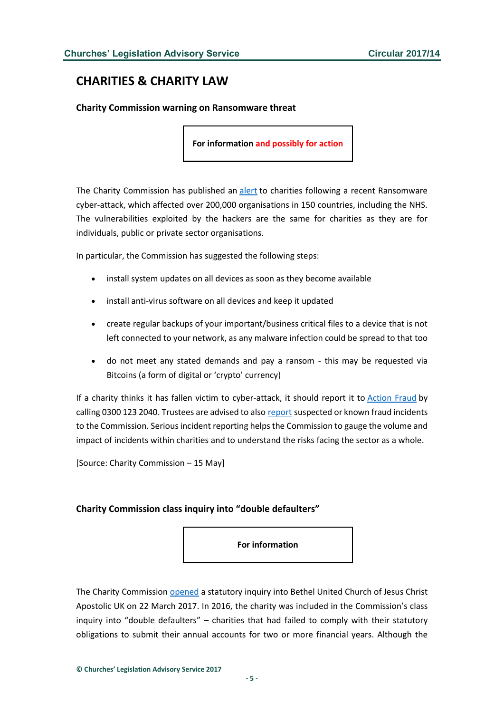# <span id="page-4-0"></span>**CHARITIES & CHARITY LAW**

<span id="page-4-1"></span>**Charity Commission warning on Ransomware threat**

**For information and possibly for action**

The Charity Commission has published an [alert](http://www.gov.uk/government/news/ransomware-threat-keep-your-charity-safe) to charities following a recent Ransomware cyber-attack, which affected over 200,000 organisations in 150 countries, including the NHS. The vulnerabilities exploited by the hackers are the same for charities as they are for individuals, public or private sector organisations.

In particular, the Commission has suggested the following steps:

- install system updates on all devices as soon as they become available
- install anti-virus software on all devices and keep it updated
- create regular backups of your important/business critical files to a device that is not left connected to your network, as any malware infection could be spread to that too
- do not meet any stated demands and pay a ransom this may be requested via Bitcoins (a form of digital or 'crypto' currency)

If a charity thinks it has fallen victim to cyber-attack, it should report it to [Action Fraud](http://www.actionfraud.police.uk/) by calling 0300 123 2040. Trustees are advised to also [report](mailto:RSI@charitycommission.gsi.gov.uk) suspected or known fraud incidents to the Commission. Serious incident reporting helps the Commission to gauge the volume and impact of incidents within charities and to understand the risks facing the sector as a whole.

[Source: Charity Commission – 15 May]

#### <span id="page-4-2"></span>**Charity Commission class inquiry into "double defaulters"**

**For information**

The Charity Commission [opened](https://www.gov.uk/government/news/new-charity-investigation-bethel-united-church-of-jesus-christ-apostolic-uk?utm_source=feedburner&utm_medium=email&utm_campaign=Feed%3A+CharityCommissionUpdates+%28Charity+Commission+updates%29) a statutory inquiry into Bethel United Church of Jesus Christ Apostolic UK on 22 March 2017. In 2016, the charity was included in the Commission's class inquiry into "double defaulters" – charities that had failed to comply with their statutory obligations to submit their annual accounts for two or more financial years. Although the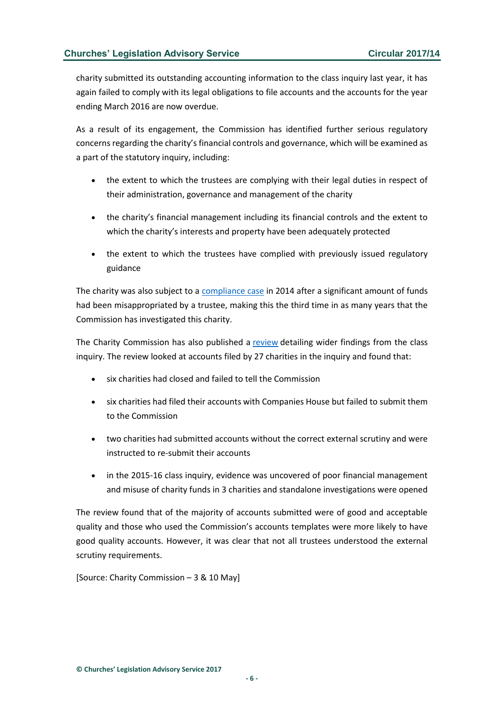charity submitted its outstanding accounting information to the class inquiry last year, it has again failed to comply with its legal obligations to file accounts and the accounts for the year ending March 2016 are now overdue.

As a result of its engagement, the Commission has identified further serious regulatory concerns regarding the charity's financial controls and governance, which will be examined as a part of the statutory inquiry, including:

- the extent to which the trustees are complying with their legal duties in respect of their administration, governance and management of the charity
- the charity's financial management including its financial controls and the extent to which the charity's interests and property have been adequately protected
- the extent to which the trustees have complied with previously issued regulatory guidance

The charity was also subject to a [compliance case](https://www.gov.uk/government/publications/bethel-united-church-of-jesus-christ-apostolic-uk-case-report) in 2014 after a significant amount of funds had been misappropriated by a trustee, making this the third time in as many years that the Commission has investigated this charity.

The Charity Commission has also published a [review](http://www.gov.uk/government/publications/accounts-monitoring-wider-learning-about-the-standards-of-accounts-in-the-double-default-class-inquiry-2015-16) detailing wider findings from the class inquiry. The review looked at accounts filed by 27 charities in the inquiry and found that:

- six charities had closed and failed to tell the Commission
- six charities had filed their accounts with Companies House but failed to submit them to the Commission
- two charities had submitted accounts without the correct external scrutiny and were instructed to re-submit their accounts
- in the 2015-16 class inquiry, evidence was uncovered of poor financial management and misuse of charity funds in 3 charities and standalone investigations were opened

The review found that of the majority of accounts submitted were of good and acceptable quality and those who used the Commission's accounts templates were more likely to have good quality accounts. However, it was clear that not all trustees understood the external scrutiny requirements.

[Source: Charity Commission – 3 & 10 May]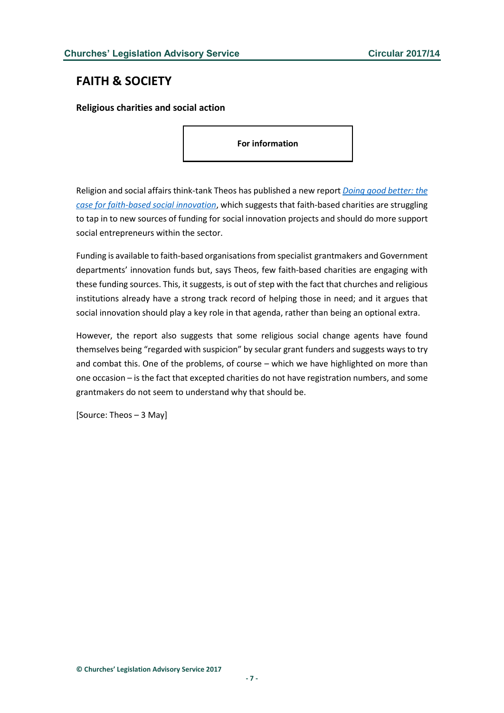# <span id="page-6-0"></span>**FAITH & SOCIETY**

<span id="page-6-1"></span>**Religious charities and social action**

**For information**

Religion and social affairs think-tank Theos has published a new report *[Doing good better: the](http://www.theosthinktank.co.uk/publications/2017/05/03/doing-good-better-the-case-for-faith-based-social-innovation)  [case for faith-based social innovation](http://www.theosthinktank.co.uk/publications/2017/05/03/doing-good-better-the-case-for-faith-based-social-innovation)*, which suggests that faith-based charities are struggling to tap in to new sources of funding for social innovation projects and should do more support social entrepreneurs within the sector.

Funding is available to faith-based organisations from specialist grantmakers and Government departments' innovation funds but, says Theos, few faith-based charities are engaging with these funding sources. This, it suggests, is out of step with the fact that churches and religious institutions already have a strong track record of helping those in need; and it argues that social innovation should play a key role in that agenda, rather than being an optional extra.

However, the report also suggests that some religious social change agents have found themselves being "regarded with suspicion" by secular grant funders and suggests ways to try and combat this. One of the problems, of course – which we have highlighted on more than one occasion – is the fact that excepted charities do not have registration numbers, and some grantmakers do not seem to understand why that should be.

[Source: Theos – 3 May]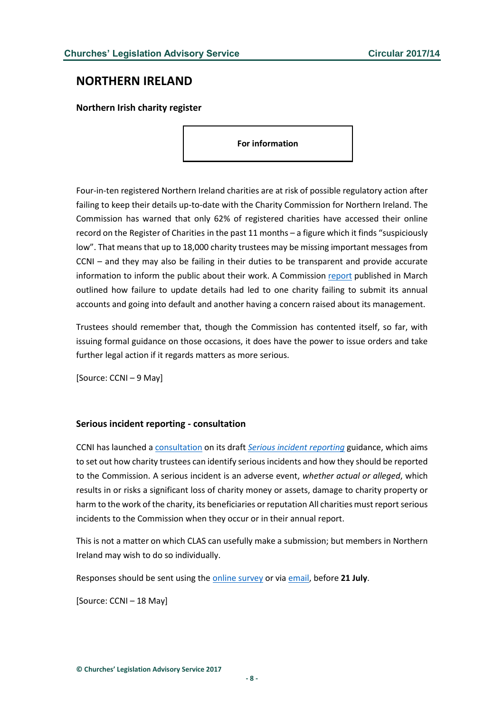# <span id="page-7-0"></span>**NORTHERN IRELAND**

<span id="page-7-1"></span>**Northern Irish charity register**

**For information**

Four-in-ten registered Northern Ireland charities are at risk of possible regulatory action after failing to keep their details up-to-date with the Charity Commission for Northern Ireland. The Commission has warned that only 62% of registered charities have accessed their online record on the Register of Charities in the past 11 months – a figure which it finds "suspiciously low". That means that up to 18,000 charity trustees may be missing important messages from CCNI – and they may also be failing in their duties to be transparent and provide accurate information to inform the public about their work. A Commission [report](http://www.charitycommissionni.org.uk/news/commission-report-on-the-importance-of-keeping-charity-records-up-to-date/) published in March outlined how failure to update details had led to one charity failing to submit its annual accounts and going into default and another having a concern raised about its management.

Trustees should remember that, though the Commission has contented itself, so far, with issuing formal guidance on those occasions, it does have the power to issue orders and take further legal action if it regards matters as more serious.

[Source: CCNI – 9 May]

#### <span id="page-7-2"></span>**Serious incident reporting - consultation**

CCNI has launched a [consultation](http://www.charitycommissionni.org.uk/about-us/public-consultations/current-consultations/) on its draft *[Serious incident reporting](http://www.charitycommissionni.org.uk/media/137483/20170512-Serious-incident-reporting-guidance-V1-0-consultation-copy.pdf)* guidance, which aims to set out how charity trustees can identify serious incidents and how they should be reported to the Commission. A serious incident is an adverse event, *whether actual or alleged*, which results in or risks a significant loss of charity money or assets, damage to charity property or harm to the work of the charity, its beneficiaries or reputation All charities must report serious incidents to the Commission when they occur or in their annual report.

This is not a matter on which CLAS can usefully make a submission; but members in Northern Ireland may wish to do so individually.

Responses should be sent using the [online survey](http://www.surveymonkey.co.uk/r/RFP9DPP) or via [email,](mailto:consult@charitycommissionni.org.uk) before **21 July**.

[Source: CCNI – 18 May]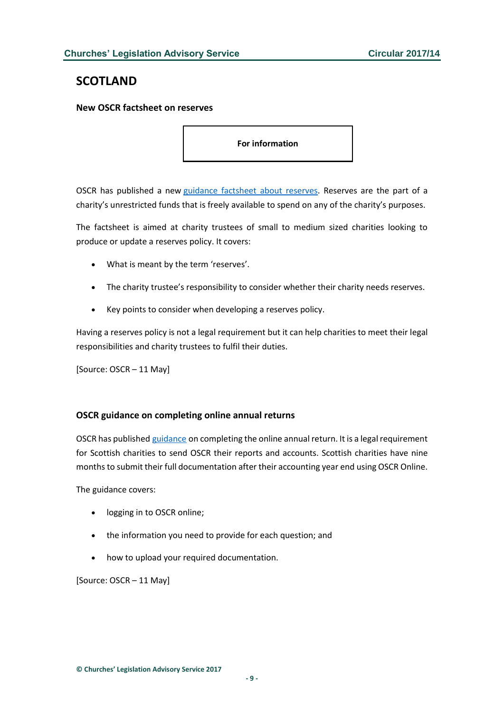# <span id="page-8-0"></span>**SCOTLAND**

<span id="page-8-1"></span>**New OSCR factsheet on reserves**

**For information**

OSCR has published a new [guidance factsheet about reserves.](http://www.oscr.org.uk/charities/guidance/charity-reserves-factsheet) Reserves are the part of a charity's unrestricted funds that is freely available to spend on any of the charity's purposes.

The factsheet is aimed at charity trustees of small to medium sized charities looking to produce or update a reserves policy. It covers:

- What is meant by the term 'reserves'.
- The charity trustee's responsibility to consider whether their charity needs reserves.
- Key points to consider when developing a reserves policy.

Having a reserves policy is not a legal requirement but it can help charities to meet their legal responsibilities and charity trustees to fulfil their duties.

[Source: OSCR – 11 May]

#### <span id="page-8-2"></span>**OSCR guidance on completing online annual returns**

OSCR has published [guidance](http://www.oscr.org.uk/charities/guidance/using-oscr-online-to-submit-an-annual-return) on completing the online annual return. It is a legal requirement for Scottish charities to send OSCR their reports and accounts. Scottish charities have nine months to submit their full documentation after their accounting year end using OSCR Online.

The guidance covers:

- logging in to OSCR online;
- the information you need to provide for each question; and
- how to upload your required documentation.

[Source: OSCR – 11 May]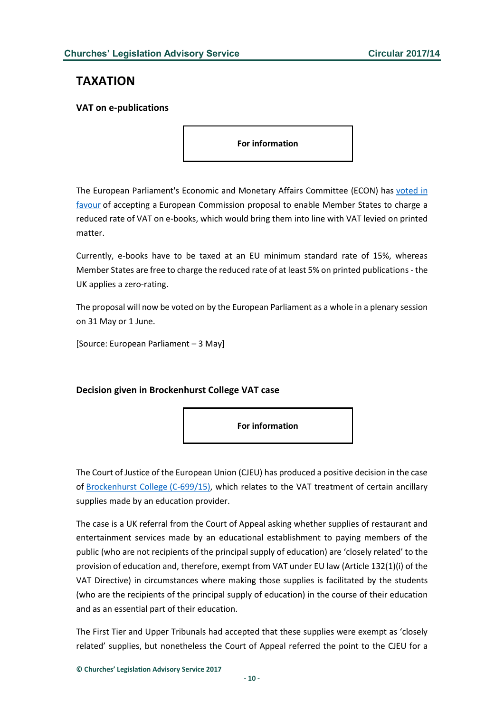# <span id="page-9-0"></span>**TAXATION**

#### <span id="page-9-1"></span>**VAT on e-publications**

**For information**

The European Parliament's Economic and Monetary Affairs Committee (ECON) has [voted in](http://www.europarl.europa.eu/news/en/news-room/20170502IPR73133/meps-vote-to-lower-vat-on-e-books-aligning-them-with-printed-books)  [favour](http://www.europarl.europa.eu/news/en/news-room/20170502IPR73133/meps-vote-to-lower-vat-on-e-books-aligning-them-with-printed-books) of accepting a European Commission proposal to enable Member States to charge a reduced rate of VAT on e-books, which would bring them into line with VAT levied on printed matter.

Currently, e-books have to be taxed at an EU minimum standard rate of 15%, whereas Member States are free to charge the reduced rate of at least 5% on printed publications - the UK applies a zero-rating.

The proposal will now be voted on by the European Parliament as a whole in a plenary session on 31 May or 1 June.

[Source: European Parliament – 3 May]

## <span id="page-9-2"></span>**Decision given in Brockenhurst College VAT case**



The Court of Justice of the European Union (CJEU) has produced a positive decision in the case of [Brockenhurst College](http://curia.europa.eu/juris/document/document.jsf;jsessionid=9ea7d2dc30d667f1d5a84fe242dfbfed9f91db3cbe49.e34KaxiLc3qMb40Rch0SaxyLb350?text=&docid=190325&pageIndex=0&doclang=en&mode=req&dir=&occ=first&part=1&cid=115983) (C-699/15), which relates to the VAT treatment of certain ancillary supplies made by an education provider.

The case is a UK referral from the Court of Appeal asking whether supplies of restaurant and entertainment services made by an educational establishment to paying members of the public (who are not recipients of the principal supply of education) are 'closely related' to the provision of education and, therefore, exempt from VAT under EU law (Article 132(1)(i) of the VAT Directive) in circumstances where making those supplies is facilitated by the students (who are the recipients of the principal supply of education) in the course of their education and as an essential part of their education.

The First Tier and Upper Tribunals had accepted that these supplies were exempt as 'closely related' supplies, but nonetheless the Court of Appeal referred the point to the CJEU for a